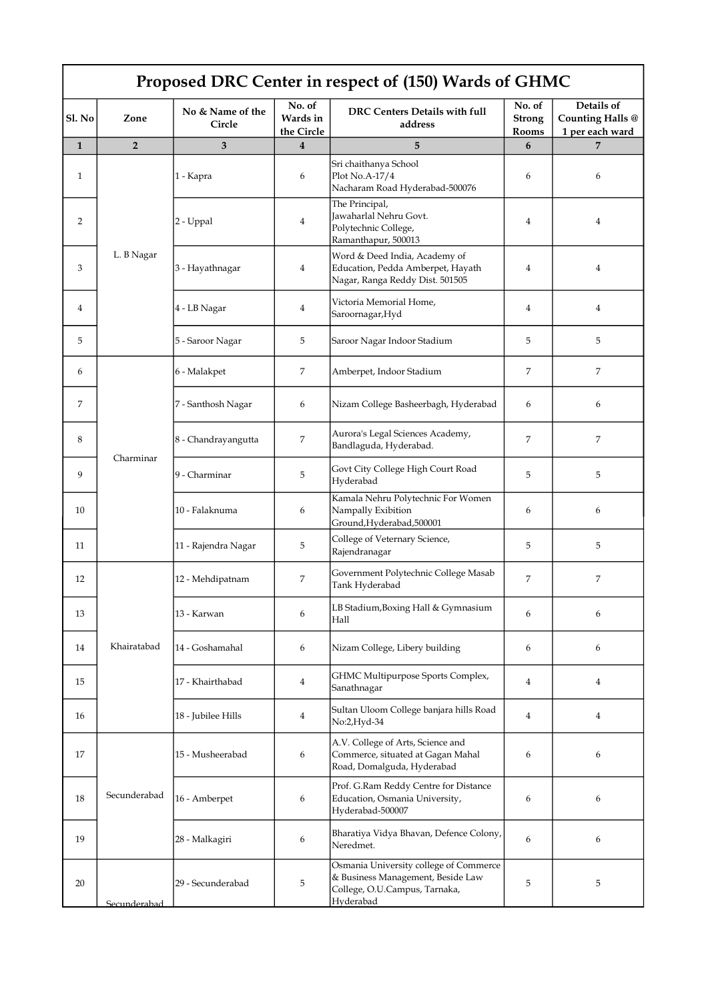| Proposed DRC Center in respect of (150) Wards of GHMC |                |                            |                                  |                                                                                                                           |                                  |                                                          |  |  |  |
|-------------------------------------------------------|----------------|----------------------------|----------------------------------|---------------------------------------------------------------------------------------------------------------------------|----------------------------------|----------------------------------------------------------|--|--|--|
| Sl. No                                                | Zone           | No & Name of the<br>Circle | No. of<br>Wards in<br>the Circle | DRC Centers Details with full<br>address                                                                                  | No. of<br><b>Strong</b><br>Rooms | Details of<br><b>Counting Halls @</b><br>1 per each ward |  |  |  |
| $\mathbf{1}$                                          | $\overline{2}$ | 3                          | $\overline{4}$                   | 5                                                                                                                         | 6                                |                                                          |  |  |  |
| 1                                                     | L. B Nagar     | 1 - Kapra                  | 6                                | Sri chaithanya School<br>Plot No.A-17/4<br>Nacharam Road Hyderabad-500076                                                 | 6                                | 6                                                        |  |  |  |
| 2                                                     |                | 2 - Uppal                  | $\overline{4}$                   | The Principal,<br>Jawaharlal Nehru Govt.<br>Polytechnic College,<br>Ramanthapur, 500013                                   | 4                                | $\overline{4}$                                           |  |  |  |
| 3                                                     |                | 3 - Hayathnagar            | $\overline{4}$                   | Word & Deed India, Academy of<br>Education, Pedda Amberpet, Hayath<br>Nagar, Ranga Reddy Dist. 501505                     | 4                                | $\overline{4}$                                           |  |  |  |
| 4                                                     |                | 4 - LB Nagar               | 4                                | Victoria Memorial Home,<br>Saroornagar, Hyd                                                                               | 4                                | $\overline{4}$                                           |  |  |  |
| 5                                                     |                | 5 - Saroor Nagar           | 5                                | Saroor Nagar Indoor Stadium                                                                                               | 5                                | 5                                                        |  |  |  |
| 6                                                     | Charminar      | 6 - Malakpet               | 7                                | Amberpet, Indoor Stadium                                                                                                  | 7                                | 7                                                        |  |  |  |
| 7                                                     |                | 7 - Santhosh Nagar         | 6                                | Nizam College Basheerbagh, Hyderabad                                                                                      | 6                                | 6                                                        |  |  |  |
| 8                                                     |                | 8 - Chandrayangutta        | 7                                | Aurora's Legal Sciences Academy,<br>Bandlaguda, Hyderabad.                                                                | 7                                | 7                                                        |  |  |  |
| 9                                                     |                | 9 - Charminar              | 5                                | Govt City College High Court Road<br>Hyderabad                                                                            | 5                                | 5                                                        |  |  |  |
| 10                                                    |                | 10 - Falaknuma             | 6                                | Kamala Nehru Polytechnic For Women<br>Nampally Exibition<br>Ground, Hyderabad, 500001                                     | 6                                | 6                                                        |  |  |  |
| 11                                                    |                | 11 - Rajendra Nagar        | 5                                | College of Veternary Science,<br>Rajendranagar                                                                            | 5                                | 5                                                        |  |  |  |
| 12                                                    | Khairatabad    | 12 - Mehdipatnam           | 7                                | Government Polytechnic College Masab<br>Tank Hyderabad                                                                    | 7                                | 7                                                        |  |  |  |
| 13                                                    |                | 13 - Karwan                | 6                                | LB Stadium, Boxing Hall & Gymnasium<br>Hall                                                                               | 6                                | 6                                                        |  |  |  |
| 14                                                    |                | 14 - Goshamahal            | 6                                | Nizam College, Libery building                                                                                            | 6                                | 6                                                        |  |  |  |
| 15                                                    |                | 17 - Khairthabad           | 4                                | GHMC Multipurpose Sports Complex,<br>Sanathnagar                                                                          | $\overline{4}$                   | 4                                                        |  |  |  |
| 16                                                    |                | 18 - Jubilee Hills         | 4                                | Sultan Uloom College banjara hills Road<br>No:2,Hyd-34                                                                    | $\overline{4}$                   | $\overline{4}$                                           |  |  |  |
| 17                                                    | Secunderabad   | 15 - Musheerabad           | 6                                | A.V. College of Arts, Science and<br>Commerce, situated at Gagan Mahal<br>Road, Domalguda, Hyderabad                      | 6                                | 6                                                        |  |  |  |
| 18                                                    |                | 16 - Amberpet              | 6                                | Prof. G.Ram Reddy Centre for Distance<br>Education, Osmania University,<br>Hyderabad-500007                               | 6                                | 6                                                        |  |  |  |
| 19                                                    |                | 28 - Malkagiri             | 6                                | Bharatiya Vidya Bhavan, Defence Colony,<br>Neredmet.                                                                      | 6                                | 6                                                        |  |  |  |
| 20                                                    | Secunderabad   | 29 - Secunderabad          | 5                                | Osmania University college of Commerce<br>& Business Management, Beside Law<br>College, O.U.Campus, Tarnaka,<br>Hyderabad | 5                                | 5                                                        |  |  |  |